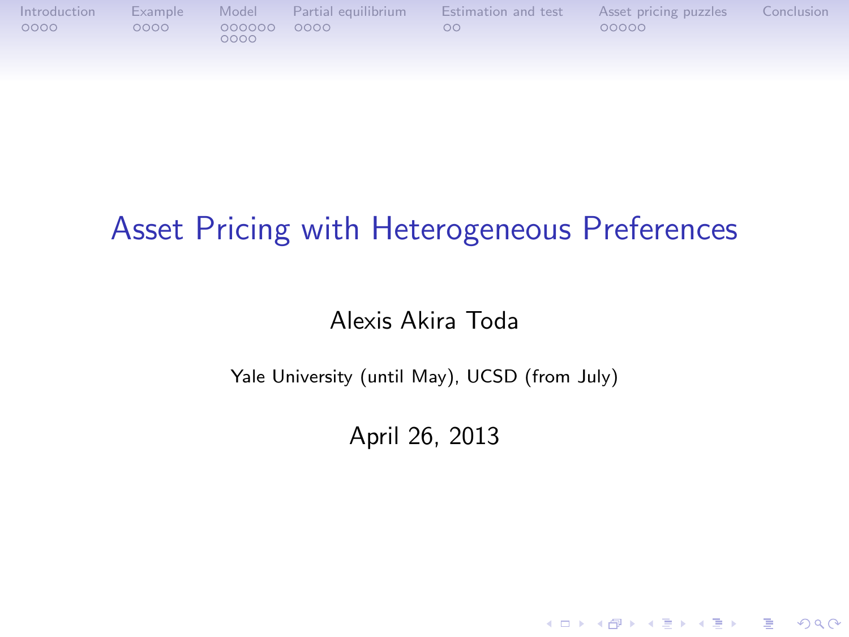| Introduction<br>Example<br>0000<br>0000 | Model<br>Partial equilibrium<br>000000 0000<br>0000 | Estimation and test<br>$\circ$ | 00000 | Conclusion<br>Asset pricing puzzles |
|-----------------------------------------|-----------------------------------------------------|--------------------------------|-------|-------------------------------------|
|-----------------------------------------|-----------------------------------------------------|--------------------------------|-------|-------------------------------------|

# Asset Pricing with Heterogeneous Preferences

#### Alexis Akira Toda

#### <span id="page-0-0"></span>Yale University (until May), UCSD (from July)

April 26, 2013

K ロ ▶ K @ ▶ K 할 > K 할 > 1 할 > 1 이익어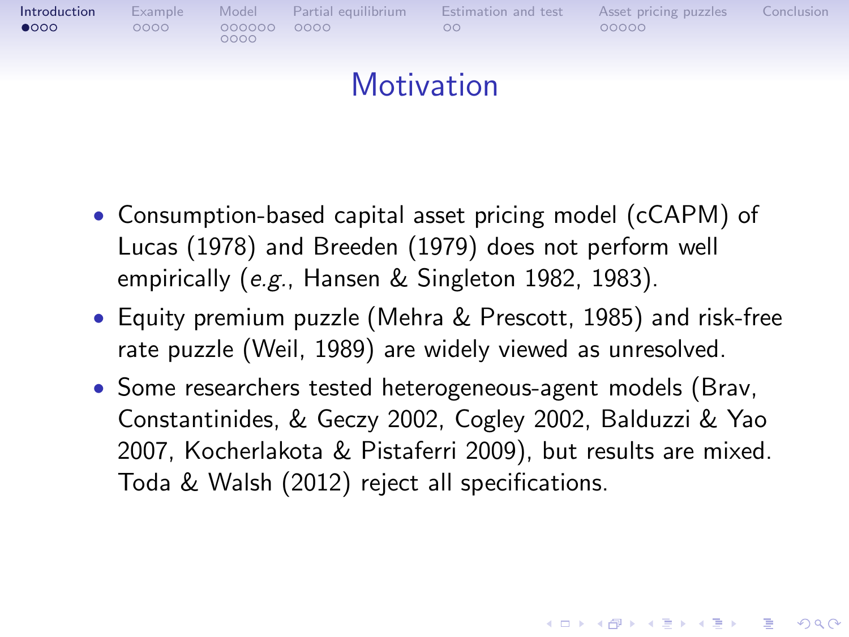

## **Motivation**

- Consumption-based capital asset pricing model (cCAPM) of Lucas (1978) and Breeden (1979) does not perform well empirically (e.g., Hansen & Singleton 1982, 1983).
- Equity premium puzzle (Mehra & Prescott, 1985) and risk-free rate puzzle (Weil, 1989) are widely viewed as unresolved.
- <span id="page-1-0"></span>• Some researchers tested heterogeneous-agent models (Brav, Constantinides, & Geczy 2002, Cogley 2002, Balduzzi & Yao 2007, Kocherlakota & Pistaferri 2009), but results are mixed. Toda & Walsh (2012) reject all specifications.

**KORK EXTERNE PROVIDE**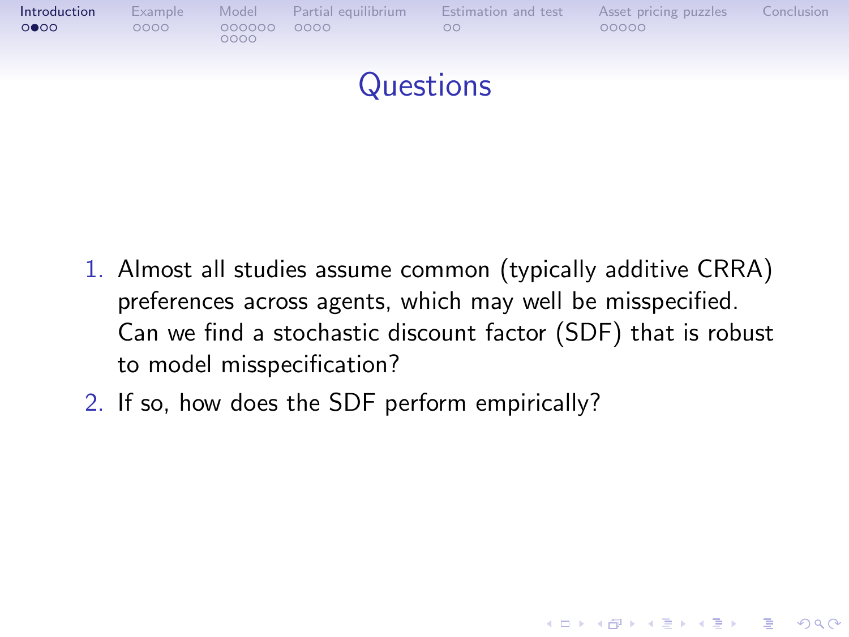| Introduction<br>0000 | Example<br>0000 | Model<br>000000<br>0000 | Partial equilibrium<br>0000 | Estimation and test<br>oο | Asset pricing puzzles<br>00000 | Conclusion |
|----------------------|-----------------|-------------------------|-----------------------------|---------------------------|--------------------------------|------------|
|                      |                 |                         |                             |                           |                                |            |

### Questions

1. Almost all studies assume common (typically additive CRRA) preferences across agents, which may well be misspecified. Can we find a stochastic discount factor (SDF) that is robust to model misspecification?

**ADD YEARS ARA YOUR** 

2. If so, how does the SDF perform empirically?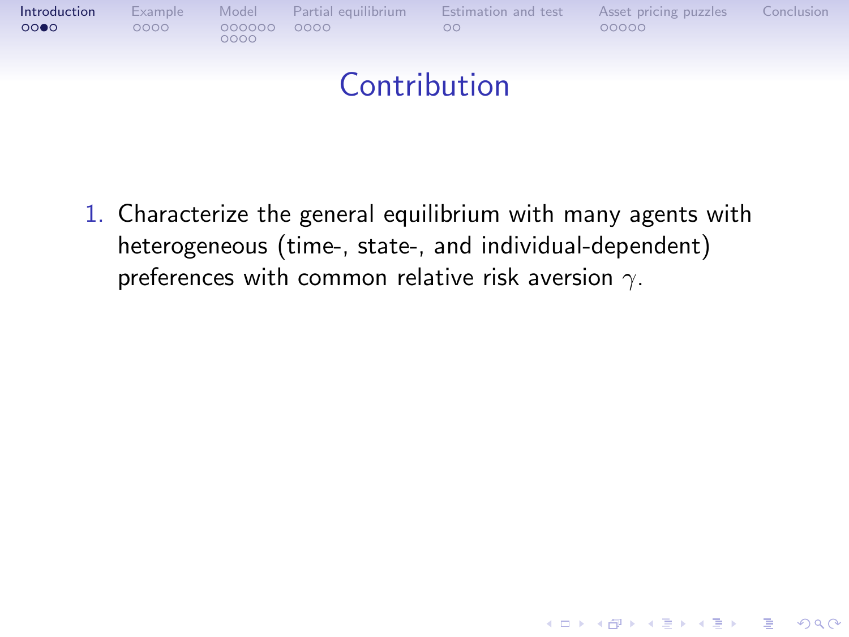

## **Contribution**

1. Characterize the general equilibrium with many agents with heterogeneous (time-, state-, and individual-dependent) preferences with common relative risk aversion  $\gamma$ .

**KORK ERKER (ERKIER)**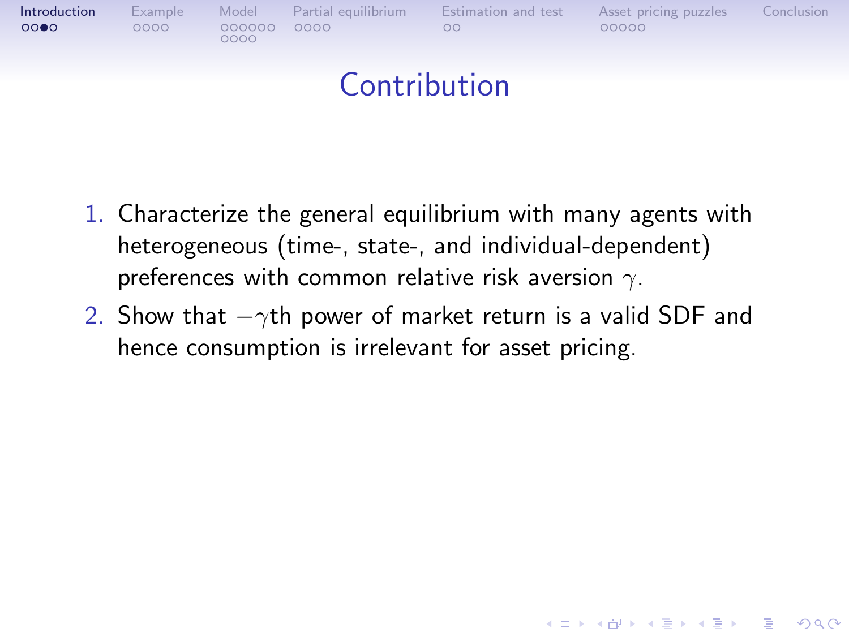

## **Contribution**

- 1. Characterize the general equilibrium with many agents with heterogeneous (time-, state-, and individual-dependent) preferences with common relative risk aversion  $\gamma$ .
- 2. Show that  $-\gamma$ th power of market return is a valid SDF and hence consumption is irrelevant for asset pricing.

**KORK ERKER (ERKIER)**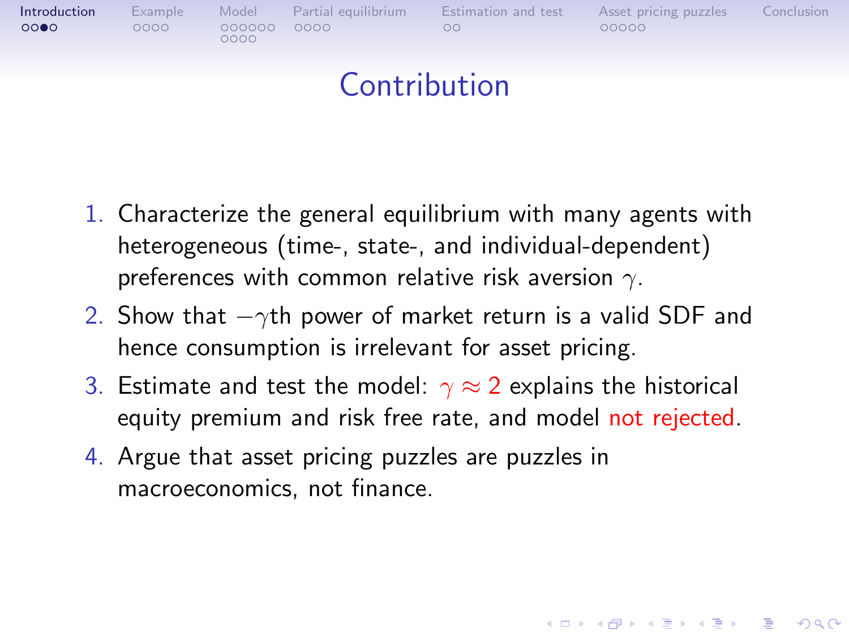

## **Contribution**

- 1. Characterize the general equilibrium with many agents with heterogeneous (time-, state-, and individual-dependent) preferences with common relative risk aversion  $\gamma$ .
- 2. Show that  $-\gamma$ th power of market return is a valid SDF and hence consumption is irrelevant for asset pricing.
- 3. Estimate and test the model:  $\gamma \approx 2$  explains the historical equity premium and risk free rate, and model not rejected.

**KORK ERKER (ERKIER)** 

4. Argue that asset pricing puzzles are puzzles in macroeconomics, not finance.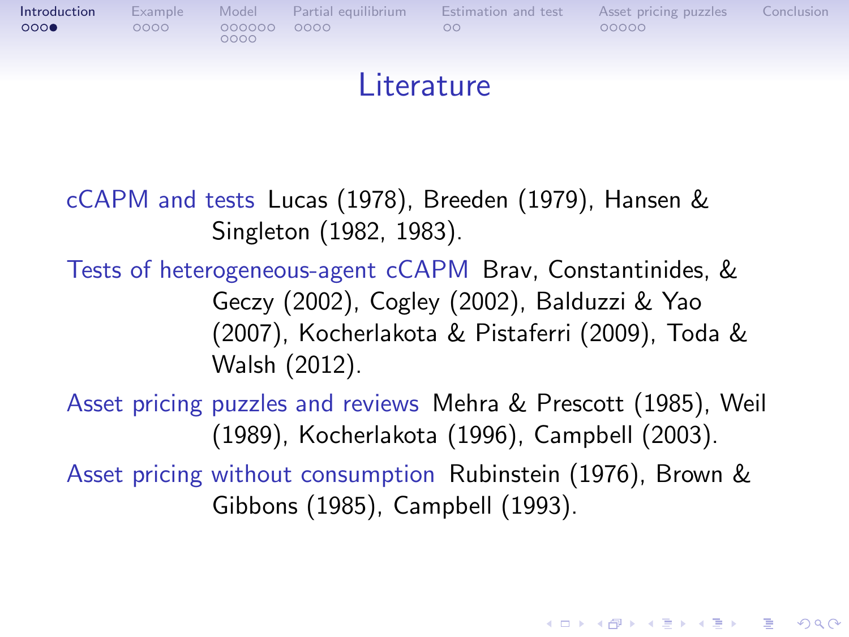

### Literature

cCAPM and tests Lucas (1978), Breeden (1979), Hansen & Singleton (1982, 1983).

Tests of heterogeneous-agent cCAPM Brav, Constantinides, & Geczy (2002), Cogley (2002), Balduzzi & Yao (2007), Kocherlakota & Pistaferri (2009), Toda & Walsh (2012).

Asset pricing puzzles and reviews Mehra & Prescott (1985), Weil (1989), Kocherlakota (1996), Campbell (2003).

Asset pricing without consumption Rubinstein (1976), Brown & Gibbons (1985), Campbell (1993).

**ADD YEARS ARA YOUR**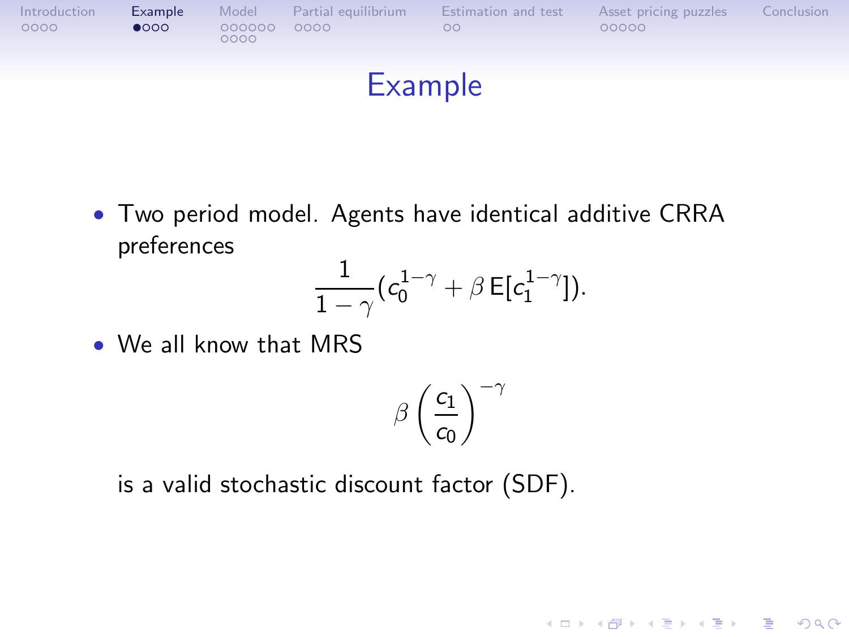

## Example

• Two period model. Agents have identical additive CRRA preferences

$$
\frac{1}{1-\gamma}(c_0^{1-\gamma}+\beta\, \mathsf{E}[c_1^{1-\gamma}]).
$$

• We all know that MRS

$$
\beta\left(\frac{c_1}{c_0}\right)^{-\gamma}
$$

K ロ ▶ K @ ▶ K 할 > K 할 > 1 할 > 1 이익어

<span id="page-7-0"></span>is a valid stochastic discount factor (SDF).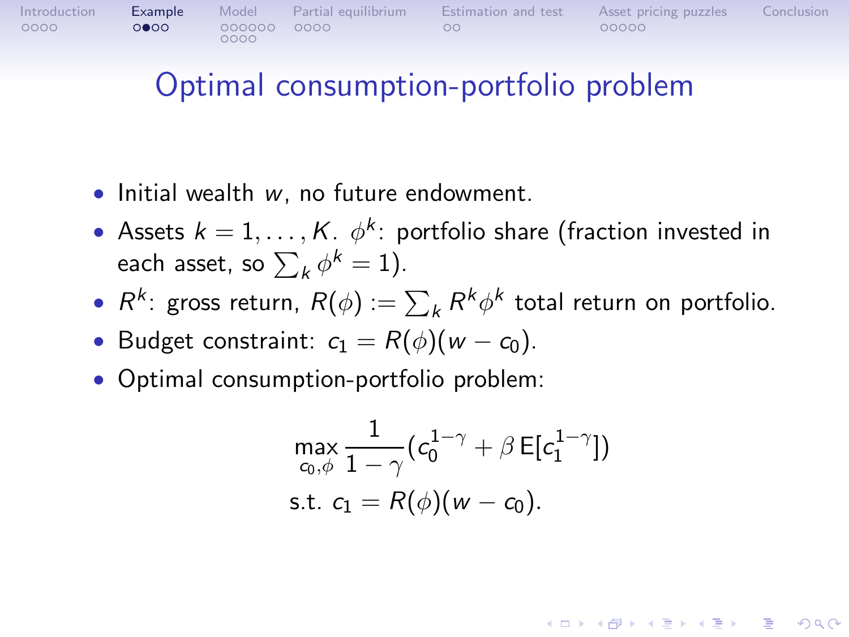[Introduction](#page-1-0) [Example](#page-7-0) [Model](#page-11-0) [Partial equilibrium](#page-21-0) [Estimation and test](#page-25-0) [Asset pricing puzzles](#page-27-0) [Conclusion](#page-32-0)

**ADD YEARS ARA YOUR** 

## Optimal consumption-portfolio problem

- Initial wealth w, no future endowment.
- Assets  $k = 1, ..., K$ .  $\phi^k$ : portfolio share (fraction invested in each asset, so  $\sum_{k} \phi^{k} = 1$ ).
- $R^k$ : gross return,  $R(\phi) := \sum_k R^k \phi^k$  total return on portfolio.
- Budget constraint:  $c_1 = R(\phi)(w c_0)$ .
- Optimal consumption-portfolio problem:

$$
\max_{c_0,\phi} \frac{1}{1-\gamma} (c_0^{1-\gamma} + \beta \, \mathsf{E}[c_1^{1-\gamma}])
$$
  
s.t.  $c_1 = R(\phi)(w - c_0)$ .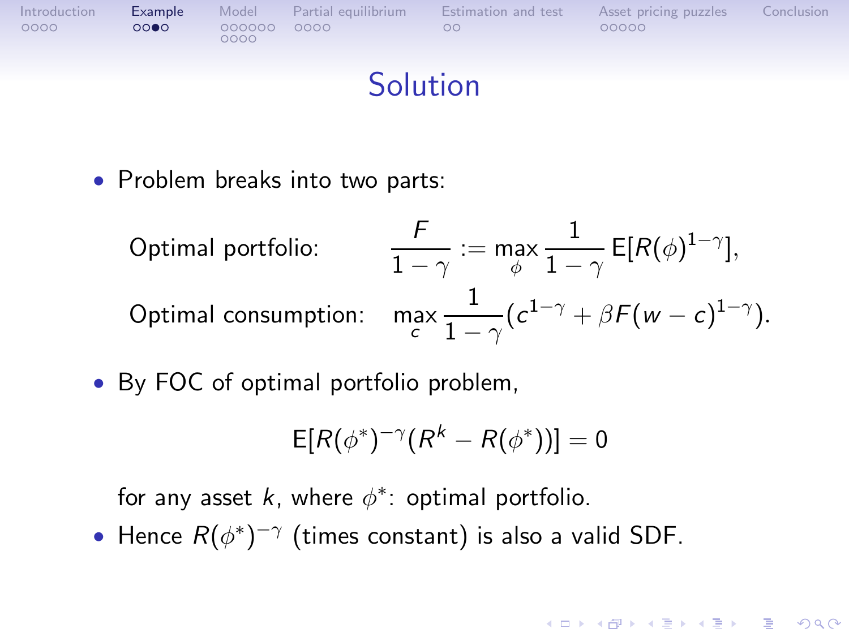

### Solution

• Problem breaks into two parts:

Optimal portfolio:  $\frac{\ }{1-\gamma}:=\max_{\phi}% \left\vert \phi_{\phi}\right\vert ^{2}$ 1  $\frac{1}{1-\gamma}$  E[R( $\phi$ )<sup>1- $\gamma$ </sup>], Optimal consumption:  $\mathop {\max }\limits_c$ 1  $\frac{1}{1-\gamma}(c^{1-\gamma}+\beta F(w-c)^{1-\gamma}).$ 

• By FOC of optimal portfolio problem,

$$
E[R(\phi^*)^{-\gamma}(R^k - R(\phi^*))] = 0
$$

**ADD YEARS ARA YOUR** 

for any asset  $k$ , where  $\phi^*$ : optimal portfolio.

• Hence  $R(\phi^*)^{-\gamma}$  (times constant) is also a valid SDF.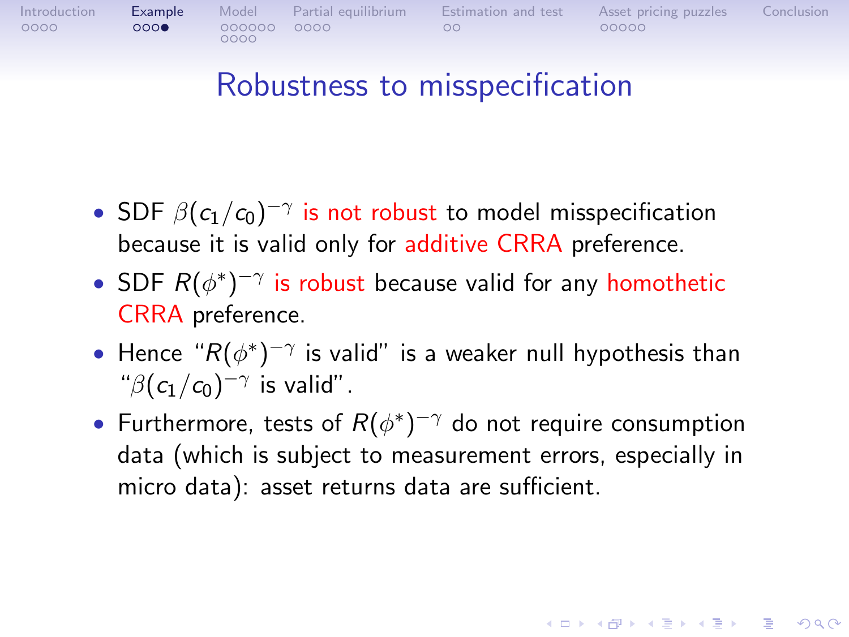

## Robustness to misspecification

- SDF  $\beta(c_1/c_0)^{-\gamma}$  is not robust to model misspecification because it is valid only for additive CRRA preference.
- SDF  $R(\phi^*)^{-\gamma}$  is robust because valid for any homothetic CRRA preference.
- Hence " $R(\phi^*)^{-\gamma}$  is valid" is a weaker null hypothesis than " $\beta(c_1/c_0)^{-\gamma}$  is valid".
- <span id="page-10-0"></span>• Furthermore, tests of  $R(\phi^*)^{-\gamma}$  do not require consumption data (which is subject to measurement errors, especially in micro data): asset returns data are sufficient.

**KORK EXTERNE PROVIDE**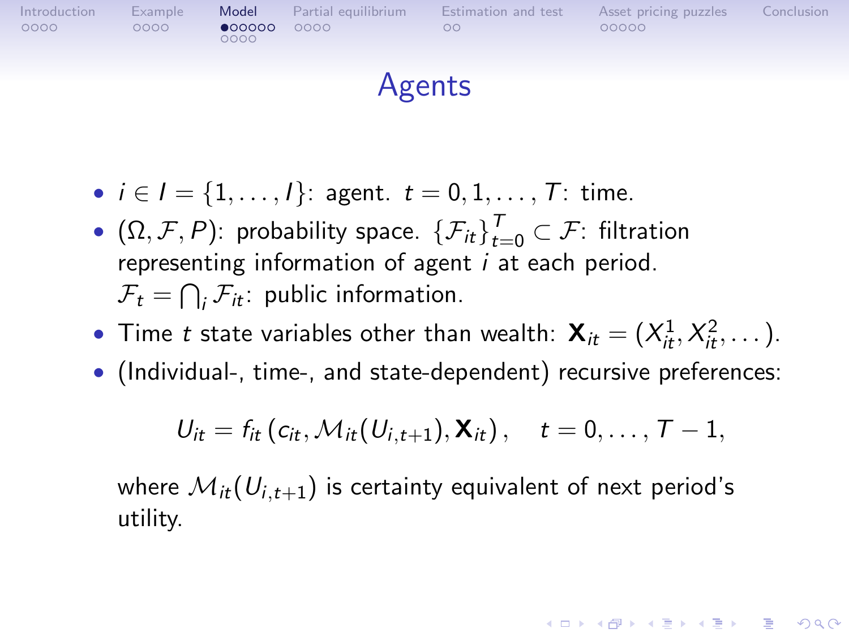

### Agents

- $i \in I = \{1, ..., I\}$ : agent.  $t = 0, 1, ..., T$ : time.
- $(\Omega, \mathcal{F}, P)$ : probability space.  $\{\mathcal{F}_{it}\}_{t=0}^T \subset \mathcal{F}$ : filtration representing information of agent  $i$  at each period.  $\mathcal{F}_t = \bigcap_i \mathcal{F}_{it}$ : public information.
- Time t state variables other than wealth:  $\mathbf{X}_{it} = (X_{it}^1, X_{it}^2, \dots).$
- (Individual-, time-, and state-dependent) recursive preferences:

$$
U_{it} = f_{it} (c_{it}, \mathcal{M}_{it}(U_{i,t+1}), \mathbf{X}_{it}), \quad t = 0, \ldots, T-1,
$$

**ADD YEARS ARA YOUR** 

<span id="page-11-0"></span>where  $\mathcal{M}_{it}(U_{i,t+1})$  is certainty equivalent of next period's utility.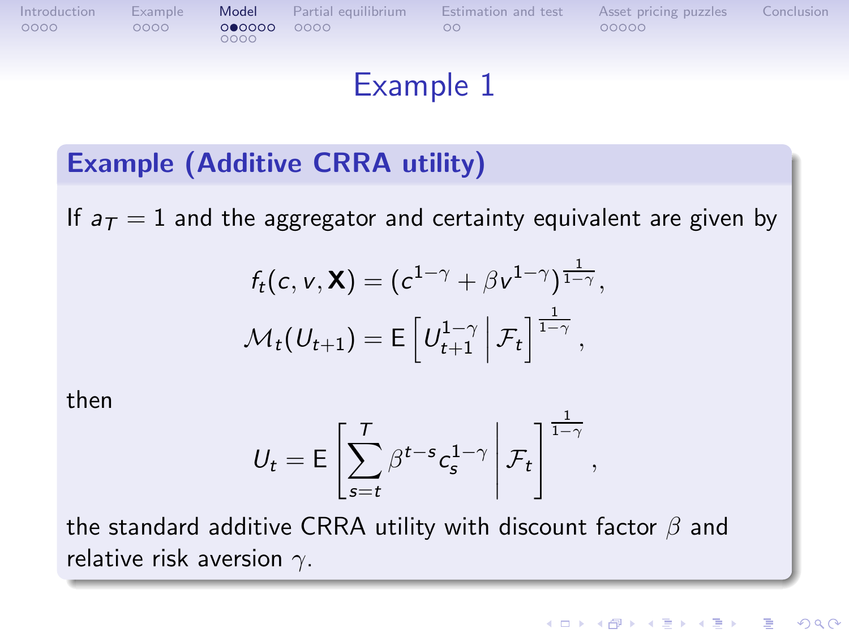#### [Introduction](#page-1-0) [Example](#page-7-0) [Model](#page-11-0) [Partial equilibrium](#page-21-0) [Estimation and test](#page-25-0) [Asset pricing puzzles](#page-27-0) [Conclusion](#page-32-0)  $0000$

## Example 1

#### Example (Additive CRRA utility)

If  $a_T = 1$  and the aggregator and certainty equivalent are given by

$$
f_t(c, v, \mathbf{X}) = (c^{1-\gamma} + \beta v^{1-\gamma})^{\frac{1}{1-\gamma}},
$$
  

$$
\mathcal{M}_t(U_{t+1}) = \mathsf{E}\left[U_{t+1}^{1-\gamma} \middle| \mathcal{F}_t\right]^{\frac{1}{1-\gamma}},
$$

then

$$
U_t = \mathsf{E}\left[\sum_{s=t}^T \beta^{t-s} c_s^{1-\gamma} \middle| \mathcal{F}_t\right]^{\frac{1}{1-\gamma}},
$$

the standard additive CRRA utility with discount factor  $\beta$  and relative risk aversion  $\gamma$ .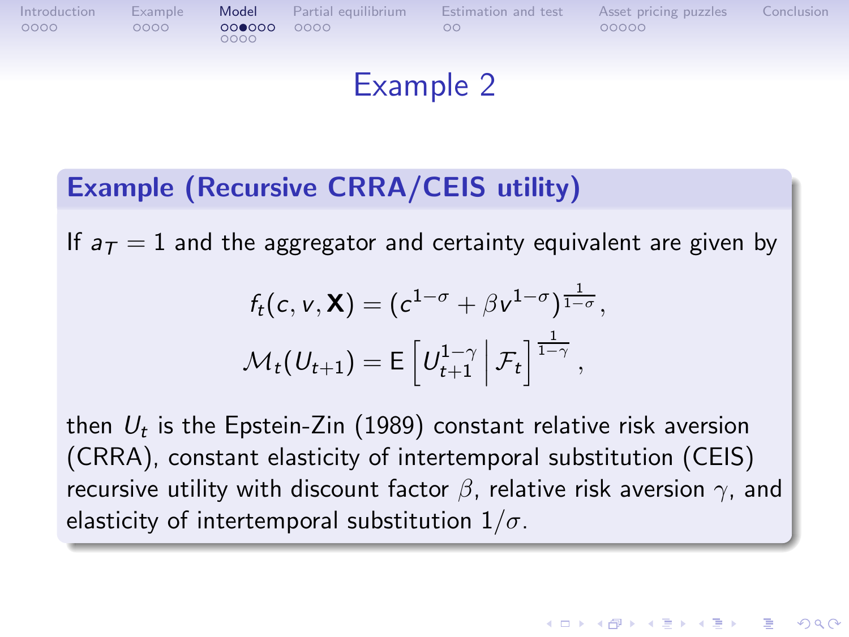

## Example 2

#### Example (Recursive CRRA/CEIS utility)

If  $a_T = 1$  and the aggregator and certainty equivalent are given by

$$
f_t(c, v, \mathbf{X}) = (c^{1-\sigma} + \beta v^{1-\sigma})^{\frac{1}{1-\sigma}},
$$
  

$$
\mathcal{M}_t(U_{t+1}) = \mathsf{E}\left[U_{t+1}^{1-\gamma} \middle| \mathcal{F}_t\right]^{\frac{1}{1-\gamma}},
$$

then  $\mathit{U}_{t}$  is the Epstein-Zin (1989) constant relative risk aversion (CRRA), constant elasticity of intertemporal substitution (CEIS) recursive utility with discount factor  $\beta$ , relative risk aversion  $\gamma$ , and elasticity of intertemporal substitution  $1/\sigma$ .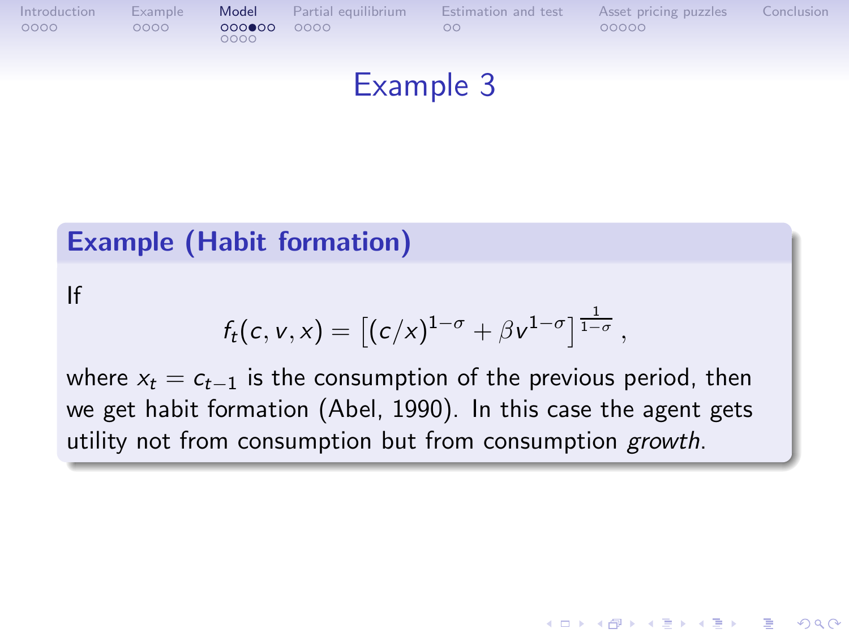

### Example 3

#### Example (Habit formation)

#### If

$$
f_t(c, v, x) = [(c/x)^{1-\sigma} + \beta v^{1-\sigma}]^{\frac{1}{1-\sigma}},
$$

where  $x_t = c_{t-1}$  is the consumption of the previous period, then we get habit formation (Abel, 1990). In this case the agent gets utility not from consumption but from consumption growth.

**KORK ERKER ADAM DE SORA**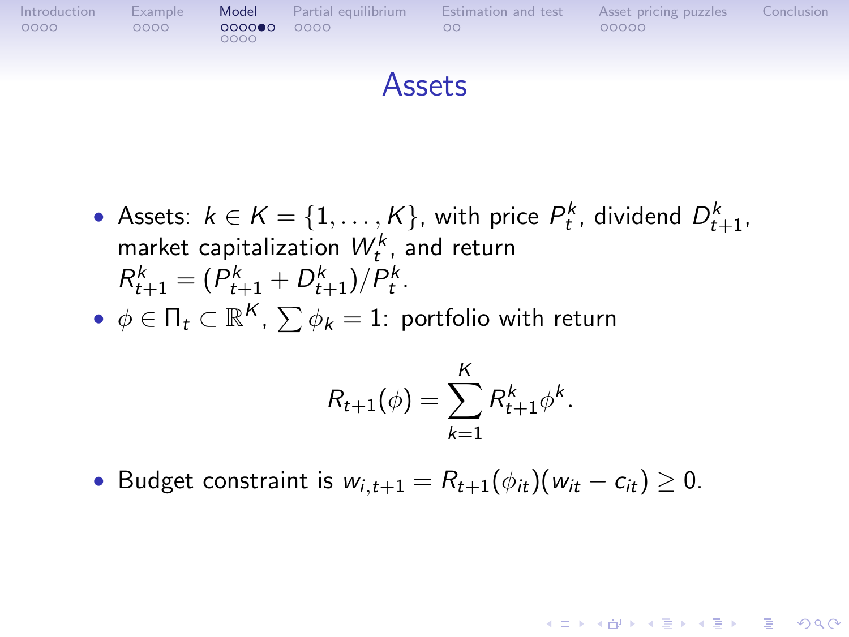

#### Assets

- Assets:  $k \in K = \{1, ..., K\}$ , with price  $P_t^k$ , dividend  $D_{t+1}^k$ , market capitalization  $W_t^k$ , and return  $R_{t+1}^k = (P_{t+1}^k + D_{t+1}^k)/P_t^k$ .
- $\bullet \ \phi \in \Pi_t \subset \mathbb{R}^K$ ,  $\sum \phi_k = 1$ : portfolio with return

$$
R_{t+1}(\phi) = \sum_{k=1}^{K} R_{t+1}^k \phi^k.
$$

**KORK ERKER ADAM DE SORA** 

• Budget constraint is  $w_{i,t+1} = R_{t+1}(\phi_{it})(w_{it} - c_{it}) \geq 0$ .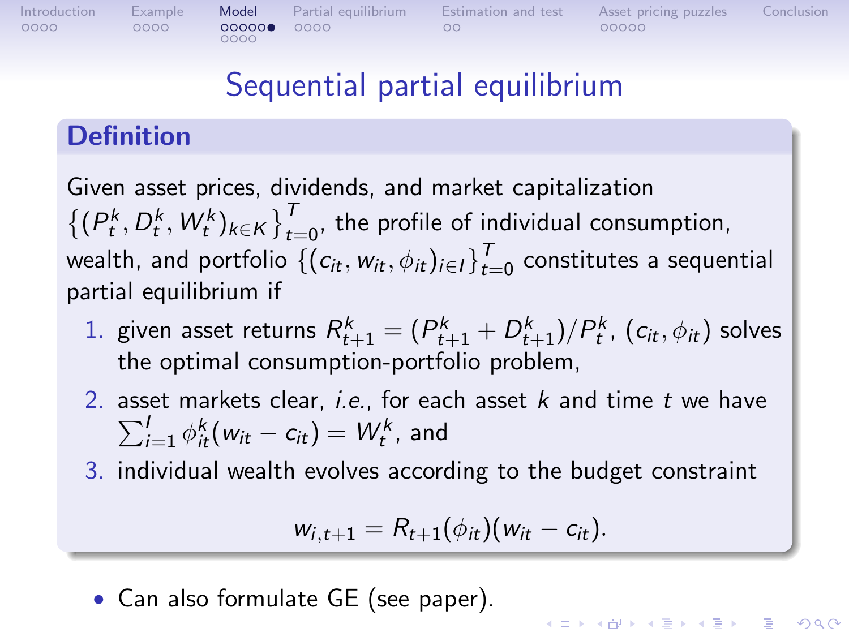[Introduction](#page-1-0) [Example](#page-7-0) [Model](#page-11-0) [Partial equilibrium](#page-21-0) [Estimation and test](#page-25-0) [Asset pricing puzzles](#page-27-0) [Conclusion](#page-32-0)

## Sequential partial equilibrium

#### **Definition**

Given asset prices, dividends, and market capitalization  $\{(P_t^k, D_t^k, W_t^k)_{k \in K}\}_{t=0}^T$ , the profile of individual consumption, wealth, and portfolio  $\left\{(c_{it}, w_{it}, \phi_{it})_{i \in I}\right\}_{t=0}^T$  constitutes a sequential partial equilibrium if

- 1. given asset returns  $R_{t+1}^k = (P_{t+1}^k + D_{t+1}^k)/P_t^k$ ,  $(c_{it}, \phi_{it})$  solves the optimal consumption-portfolio problem,
- 2. asset markets clear, *i.e.*, for each asset  $k$  and time  $t$  we have  $\sum_{i=1}^I \phi_{it}^k(w_{it} - c_{it}) = W_t^k$ , and
- 3. individual wealth evolves according to the budget constraint

$$
w_{i,t+1}=R_{t+1}(\phi_{it})(w_{it}-c_{it}).
$$

<span id="page-16-0"></span>• Can also formulate GE (see paper).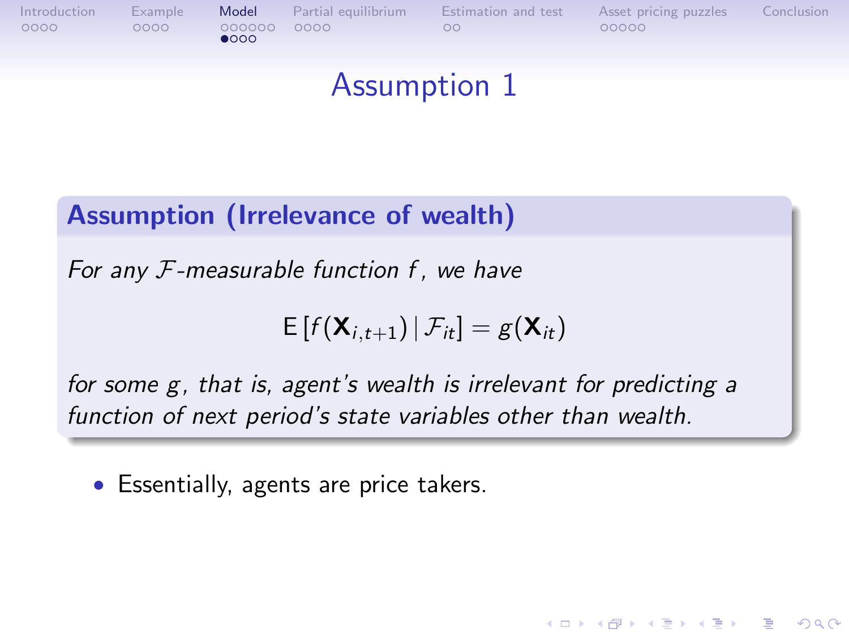

 $0000$ 

[Introduction](#page-1-0) [Example](#page-7-0) [Model](#page-11-0) [Partial equilibrium](#page-21-0) [Estimation and test](#page-25-0) [Asset pricing puzzles](#page-27-0) [Conclusion](#page-32-0)

**KORK EXTERNE PROVIDE** 

## Assumption 1

#### Assumption (Irrelevance of wealth)

For any  $F$ -measurable function  $f$ , we have

 $E[f(\mathbf{X}_{i,t+1})|\mathcal{F}_{it}] = g(\mathbf{X}_{it})$ 

for some g, that is, agent's wealth is irrelevant for predicting a function of next period's state variables other than wealth.

<span id="page-17-0"></span>• Essentially, agents are price takers.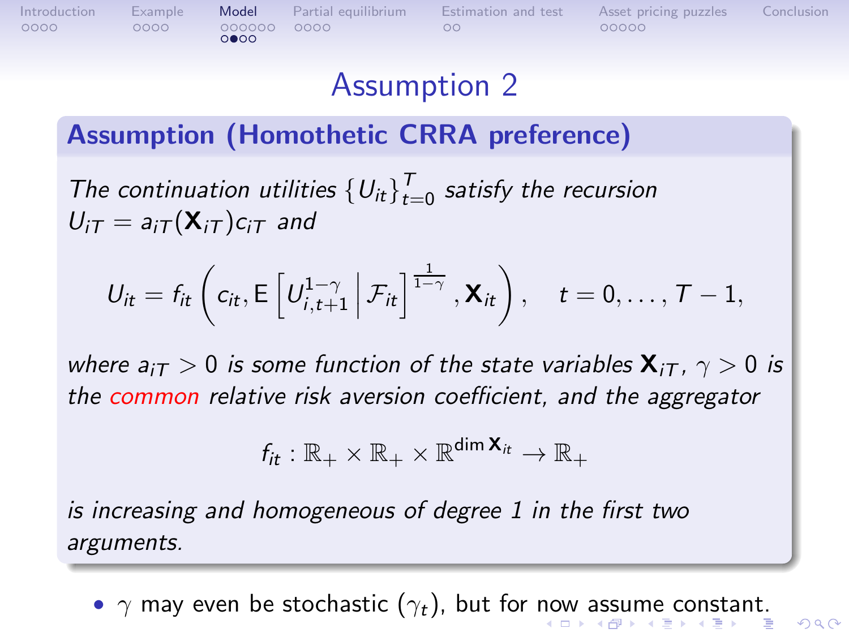## Assumption 2

[Introduction](#page-1-0) [Example](#page-7-0) [Model](#page-11-0) [Partial equilibrium](#page-21-0) [Estimation and test](#page-25-0) [Asset pricing puzzles](#page-27-0) [Conclusion](#page-32-0)

#### Assumption (Homothetic CRRA preference)

∩ൈ∩

The continuation utilities  $\{U_{it}\}_{t=0}^T$  satisfy the recursion  $U_{iT} = a_{iT}(\mathbf{X}_{iT})c_{iT}$  and

$$
U_{it}=f_{it}\left(c_{it}, \mathsf{E}\left[U_{i,t+1}^{1-\gamma}\,\big|\,\mathcal{F}_{it}\right]^{\frac{1}{1-\gamma}}, \mathbf{X}_{it}\right), \quad t=0,\ldots, T-1,
$$

where  $a_{i\tau} > 0$  is some function of the state variables  ${\bf X}_{i\tau}$ ,  $\gamma > 0$  is the common relative risk aversion coefficient, and the aggregator

$$
f_{it}:\mathbb{R}_+\times\mathbb{R}_+\times\mathbb{R}^{\text{dim }\mathbf{X}_{it}}\rightarrow\mathbb{R}_+
$$

is increasing and homogeneous of degree 1 in the first two arguments.

<span id="page-18-0"></span>• $\gamma$  $\gamma$  $\gamma$  $\gamma$  may [e](#page-17-0)ven be sto[c](#page-20-0)ha[s](#page-11-0)[t](#page-20-0)ic  $(\gamma_t)$ , but for [no](#page-17-0)[w](#page-19-0) [a](#page-17-0)[ssu](#page-18-0)me c[o](#page-21-0)[n](#page-10-0)sta[nt](#page-0-0)[.](#page-32-0)

 $ORO$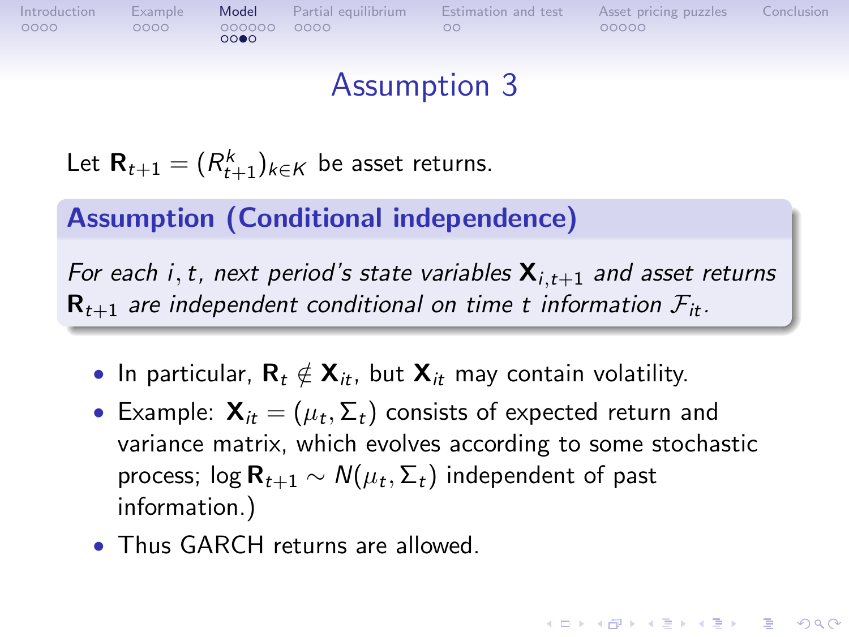റററെ

[Introduction](#page-1-0) [Example](#page-7-0) [Model](#page-11-0) [Partial equilibrium](#page-21-0) [Estimation and test](#page-25-0) [Asset pricing puzzles](#page-27-0) [Conclusion](#page-32-0)

**ADD YEARS ARA YOUR** 

## Assumption 3

Let  $\mathsf{R}_{t+1} = (R_{t+1}^k)_{k \in K}$  be asset returns.

#### Assumption (Conditional independence)

For each i, t, next period's state variables  $X_{i,t+1}$  and asset returns  $\mathbf{R}_{t+1}$  are independent conditional on time t information  $\mathcal{F}_{it}$ .

- In particular,  $\mathbf{R}_t \notin \mathbf{X}_{it}$ , but  $\mathbf{X}_{it}$  may contain volatility.
- $\bullet\,$  Example:  ${\bf X}_{it} = (\mu_t, \Sigma_t)$  consists of expected return and variance matrix, which evolves according to some stochastic process; log  $\textsf{R}_{t+1} \sim \mathcal{N}(\mu_t, \Sigma_t)$  independent of past information.)
- <span id="page-19-0"></span>• Thus GARCH returns are allowed.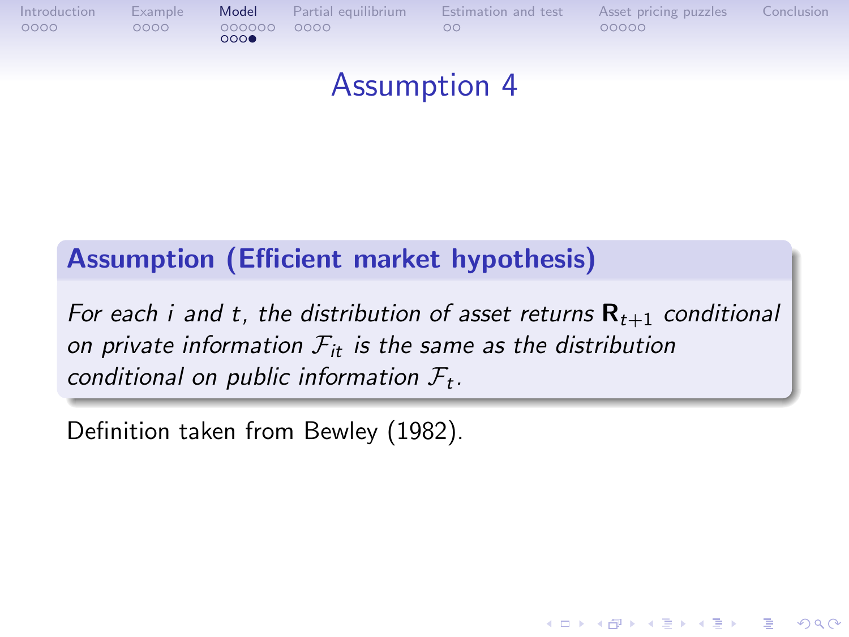

### Assumption 4

#### Assumption (Efficient market hypothesis)

For each i and t, the distribution of asset returns  $\mathbf{R}_{t+1}$  conditional on private information  $F_{it}$  is the same as the distribution conditional on public information  $\mathcal{F}_t$ .

**KORK EXTERNE PROVIDE** 

<span id="page-20-0"></span>Definition taken from Bewley (1982).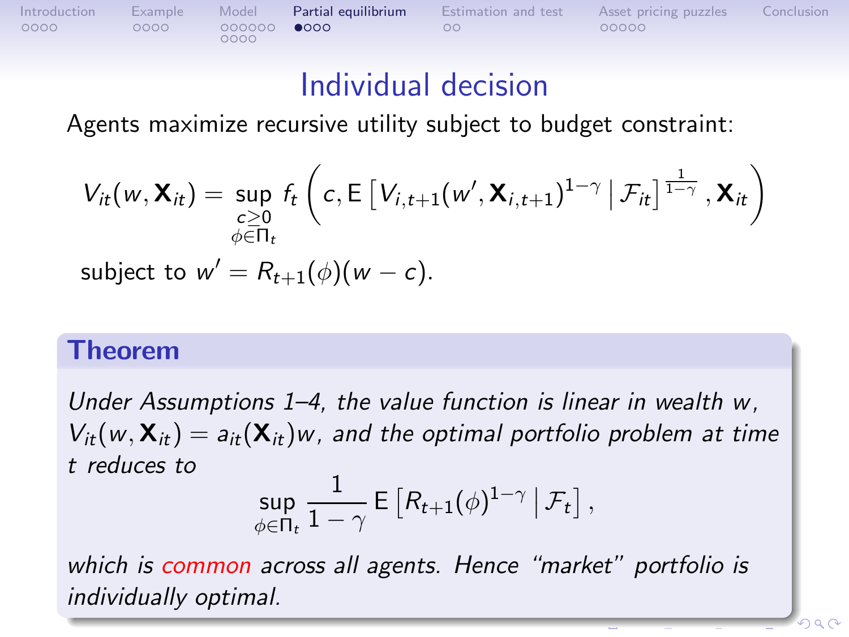[Introduction](#page-1-0) [Example](#page-7-0) [Model](#page-11-0) **[Partial equilibrium](#page-21-0)** [Estimation and test](#page-25-0) [Asset pricing puzzles](#page-27-0) [Conclusion](#page-32-0)<br>0000 0000 00000 **00000 0000** 00 nnnn

## Individual decision

Agents maximize recursive utility subject to budget constraint:

$$
V_{it}(w, \mathbf{X}_{it}) = \sup_{\substack{c \geq 0 \\ \phi \in \Pi_t}} f_t \left( c, E \left[ V_{i,t+1}(w', \mathbf{X}_{i,t+1})^{1-\gamma} \, \big| \, \mathcal{F}_{it} \right]^{\frac{1}{1-\gamma}}, \mathbf{X}_{it} \right)
$$
  
subject to  $w' = R_{t+1}(\phi)(w - c)$ .

#### Theorem

Under Assumptions 1–4, the value function is linear in wealth w,  $V_{it}(w, \mathbf{X}_{it}) = a_{it}(\mathbf{X}_{it})w$ , and the optimal portfolio problem at time t reduces to

$$
\sup_{\phi\in\Pi_t}\frac{1}{1-\gamma}\, \mathsf{E}\left[\mathsf{R}_{t+1}(\phi)^{1-\gamma}\,\big|\,\mathcal{F}_t\right],
$$

<span id="page-21-0"></span>which is common across all agents. Hence "market" portfolio is individually optimal.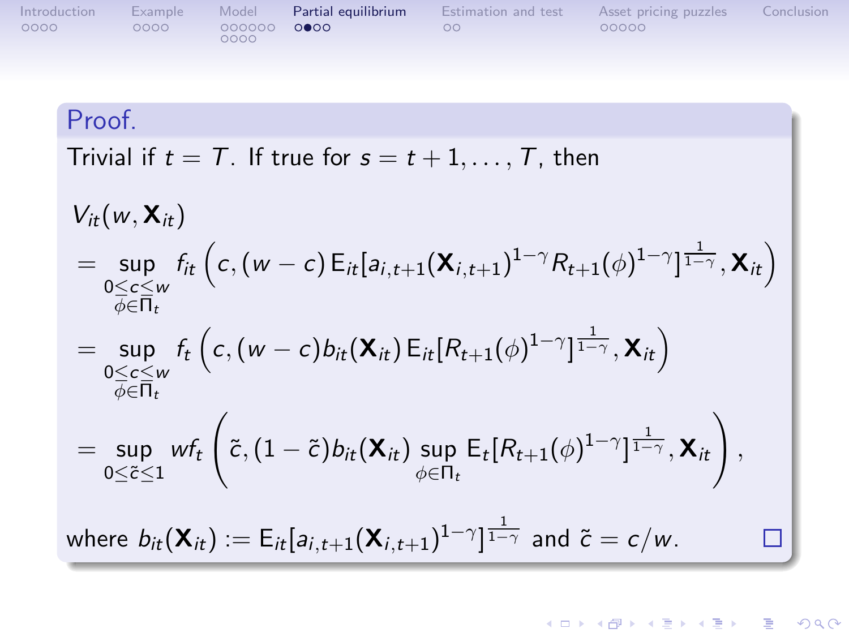| Introduction<br>0000 |        | Example<br>0000              | Model<br>000000<br>0000 | Partial equilibrium<br>0000 | Estimation and test<br>OO                                                                                                                            | Asset pricing puzzles<br>00000                                                                                                                                 | Conclusion |
|----------------------|--------|------------------------------|-------------------------|-----------------------------|------------------------------------------------------------------------------------------------------------------------------------------------------|----------------------------------------------------------------------------------------------------------------------------------------------------------------|------------|
|                      |        |                              |                         |                             |                                                                                                                                                      |                                                                                                                                                                |            |
|                      | Proof. |                              |                         |                             |                                                                                                                                                      |                                                                                                                                                                |            |
|                      |        |                              |                         |                             | Trivial if $t = T$ . If true for $s = t + 1, , T$ , then                                                                                             |                                                                                                                                                                |            |
|                      |        | $V_{it}(w, \mathbf{X}_{it})$ |                         |                             |                                                                                                                                                      |                                                                                                                                                                |            |
|                      |        | $\phi \in \Pi_t$             |                         |                             |                                                                                                                                                      | = $\sup_{0 \leq c \leq w} f_{it} (c, (w - c) E_{it}[a_{i,t+1}(\mathbf{X}_{i,t+1})^{1-\gamma} R_{t+1}(\phi)^{1-\gamma}]^{\frac{1}{1-\gamma}}, \mathbf{X}_{it})$ |            |
|                      |        | $\phi \in \Pi_t$             |                         |                             | $=\sup_{0\leq c\leq w} f_t\left(c,(w-c)b_{it}(\mathbf{X}_{it})\mathsf{E}_{it}[R_{t+1}(\phi)^{1-\gamma}]^{\frac{1}{1-\gamma}},\mathbf{X}_{it}\right)$ |                                                                                                                                                                |            |
|                      |        |                              |                         |                             | $\sim$ (1 $\approx$ ) ( $\sqrt{2}$ ) $\sqrt{5}$ ( $\sqrt{1-\gamma}$ ) $\frac{1}{\gamma}$ $\sqrt{2}$                                                  |                                                                                                                                                                |            |

$$
= \sup_{0\leq \tilde{c}\leq 1} \mathsf{w} f_t\left(\tilde{c}, (1-\tilde{c}) b_{it}(\mathbf{X}_{it}) \sup_{\phi\in\Pi_t} \mathsf{E}_t[R_{t+1}(\phi)^{1-\gamma}]^{\frac{1}{1-\gamma}}, \mathbf{X}_{it}\right),
$$

where  $b_{it}(\boldsymbol{\mathsf{X}}_{it}):=\mathsf{E}_{it}[a_{i,t+1}(\boldsymbol{\mathsf{X}}_{i,t+1})^{1-\gamma}]^{\frac{1}{1-\gamma}}$  and  $\widetilde{c}=c/w.$ 

 $\Box$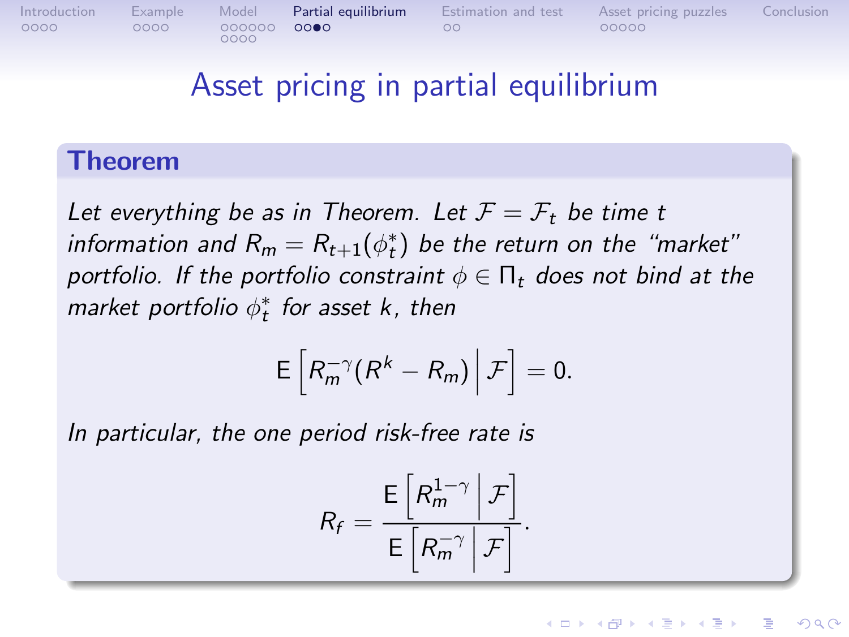[Introduction](#page-1-0) [Example](#page-7-0) [Model](#page-11-0) [Partial equilibrium](#page-21-0) [Estimation and test](#page-25-0) [Asset pricing puzzles](#page-27-0) [Conclusion](#page-32-0) nnnn

### Asset pricing in partial equilibrium

#### Theorem

Let everything be as in Theorem. Let  $\mathcal{F} = \mathcal{F}_t$  be time t information and  $R_m = R_{t+1}(\phi_t^*)$  be the return on the "market" portfolio. If the portfolio constraint  $\phi \in \Pi_t$  does not bind at the market portfolio  $\phi_t^*$  for asset k, then

$$
\mathsf{E}\left[R_m^{-\gamma}(R^k-R_m)\,\bigg|\,\mathcal{F}\right]=0.
$$

In particular, the one period risk-free rate is

$$
R_f = \frac{\mathsf{E}\left[R_m^{1-\gamma} \middle| \mathcal{F}\right]}{\mathsf{E}\left[R_m^{-\gamma} \middle| \mathcal{F}\right]}.
$$

イロト イ伊 トイヨ トイヨト

 $QQ$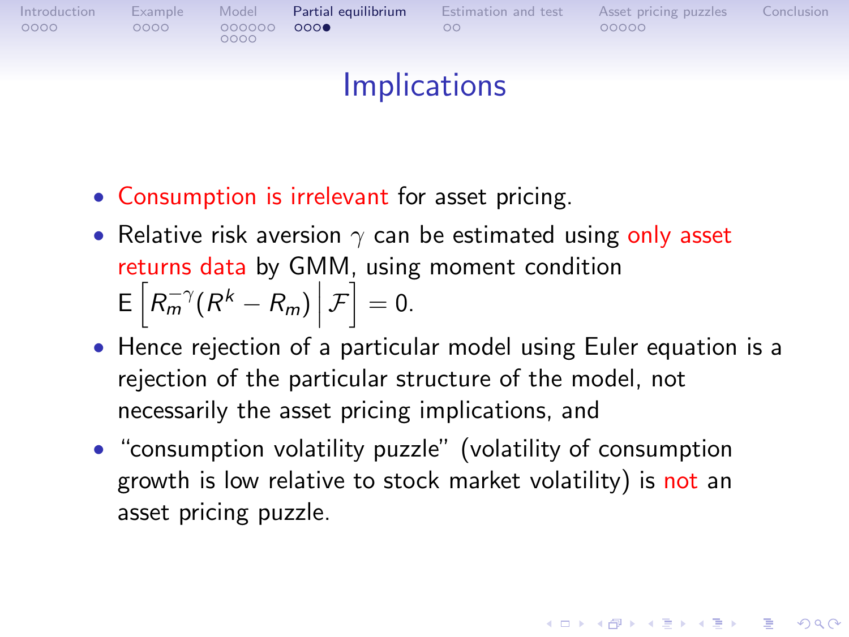

## **Implications**

- Consumption is irrelevant for asset pricing.
- Relative risk aversion  $\gamma$  can be estimated using only asset returns data by GMM, using moment condition  $E\left[R_m^{-\gamma}(R^k - R_m)\right]$  $\mathcal{F} \Big| = 0.$
- Hence rejection of a particular model using Euler equation is a rejection of the particular structure of the model, not necessarily the asset pricing implications, and

**ADD YEARS ARA YOUR** 

• "consumption volatility puzzle" (volatility of consumption growth is low relative to stock market volatility) is not an asset pricing puzzle.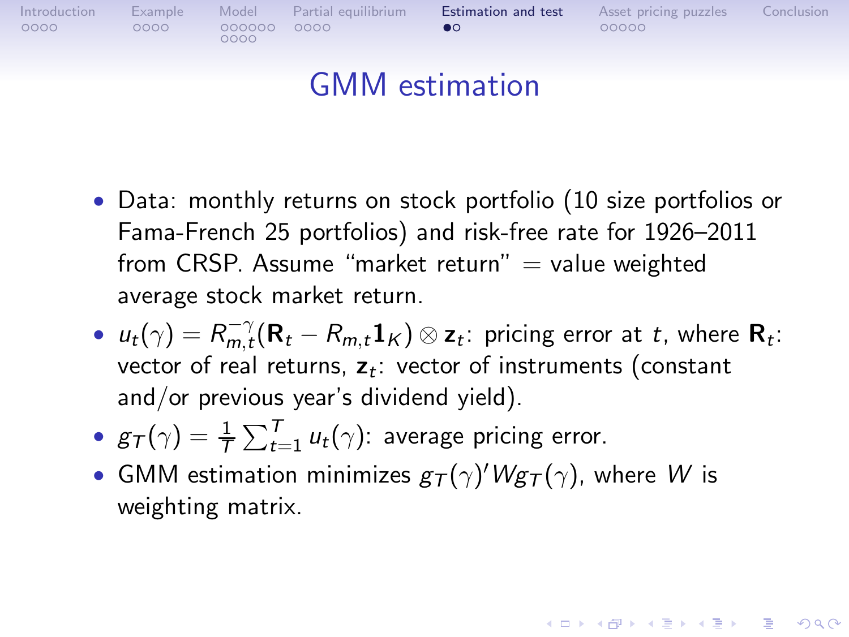

## GMM estimation

- Data: monthly returns on stock portfolio (10 size portfolios or Fama-French 25 portfolios) and risk-free rate for 1926–2011 from CRSP. Assume "market return"  $=$  value weighted average stock market return.
- $u_t(\gamma) = R_{m,t}^{-\gamma} (\mathbf{R}_t R_{m,t} \mathbf{1}_K) \otimes \mathbf{z}_t$ : pricing error at  $t$ , where  $\mathbf{R}_t$ : vector of real returns,  $\mathsf{z}_t$ : vector of instruments (constant and/or previous year's dividend yield).

**ADD YEARS ARA YOUR** 

- $g_{\mathcal{T}}(\gamma) = \frac{1}{\mathcal{T}} \sum_{t=1}^T u_t(\gamma)$ : average pricing error.
- <span id="page-25-0"></span>• GMM estimation minimizes  $g_{\mathcal{T}}(\gamma)'Wg_{\mathcal{T}}(\gamma)$ , where  $W$  is weighting matrix.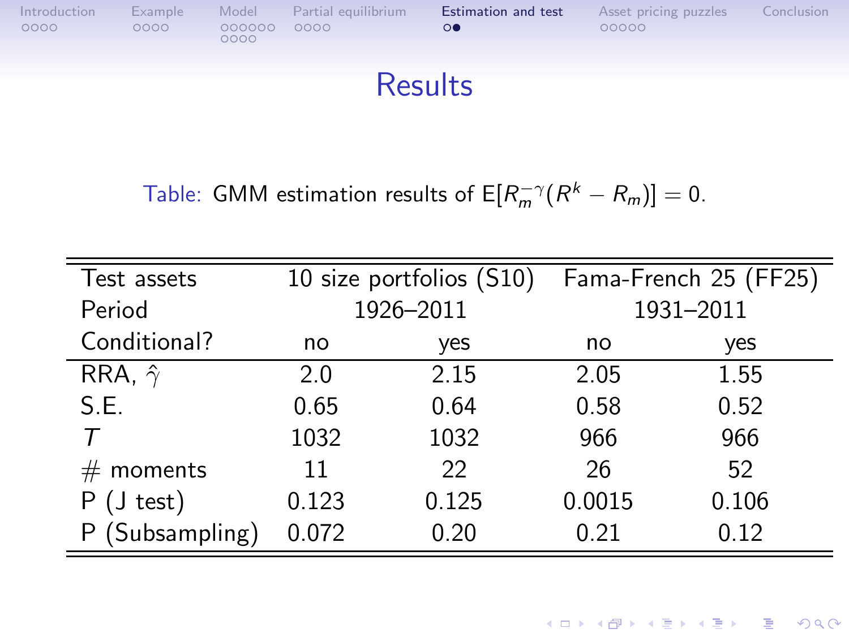

## **Results**

Table: GMM estimation results of  $E[R_m^{-\gamma}(R^k - R_m)] = 0$ .

| Test assets         |           | 10 size portfolios (S10) | Fama-French 25 (FF25) |       |
|---------------------|-----------|--------------------------|-----------------------|-------|
| Period              | 1926-2011 |                          | 1931-2011             |       |
| Conditional?        | no        | yes                      | no                    | yes   |
| RRA, $\hat{\gamma}$ | 2.0       | 2.15                     | 2.05                  | 1.55  |
| S.E.                | 0.65      | 0.64                     | 0.58                  | 0.52  |
|                     | 1032      | 1032                     | 966                   | 966   |
| $#$ moments         | 11        | 22                       | 26                    | 52    |
| $(J \text{ test})$  | 0.123     | 0.125                    | 0.0015                | 0.106 |
| (Subsampling)       | 0.072     | 0.20                     | 0.21                  | 0.12  |

K ロ ▶ K @ ▶ K 할 ▶ K 할 ▶ 이 할 → 9 Q Q →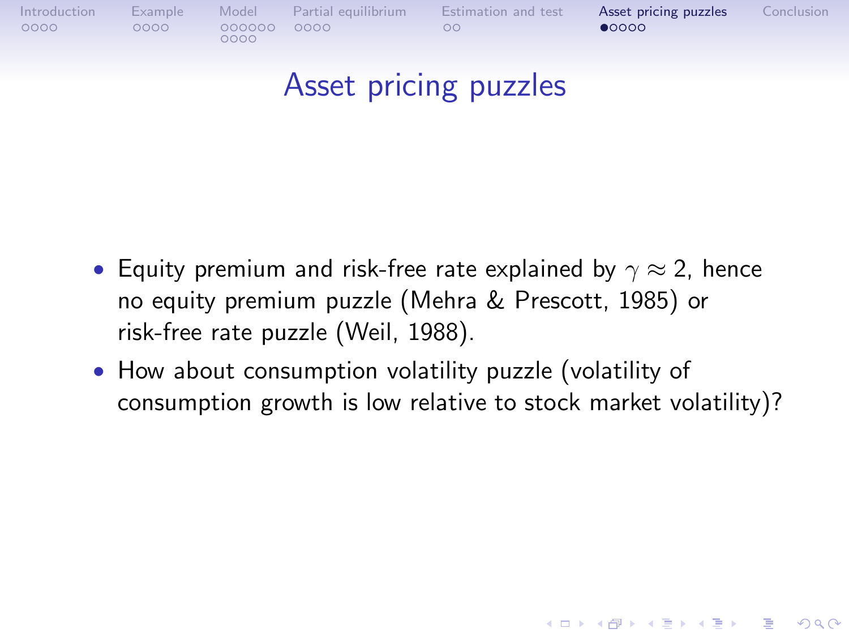| Introduction<br>0000 | Example<br>0000 | 000000 0000<br>0000 | Model Partial equilibrium | <b>Estimation and test</b><br>$\circ$ | Asset pricing puzzles<br>$\bullet$ 0000 | Conclusion |
|----------------------|-----------------|---------------------|---------------------------|---------------------------------------|-----------------------------------------|------------|
|----------------------|-----------------|---------------------|---------------------------|---------------------------------------|-----------------------------------------|------------|

## Asset pricing puzzles

- Equity premium and risk-free rate explained by  $\gamma \approx 2$ , hence no equity premium puzzle (Mehra & Prescott, 1985) or risk-free rate puzzle (Weil, 1988).
- <span id="page-27-0"></span>• How about consumption volatility puzzle (volatility of consumption growth is low relative to stock market volatility)?

**ADD YEARS ARA YOUR**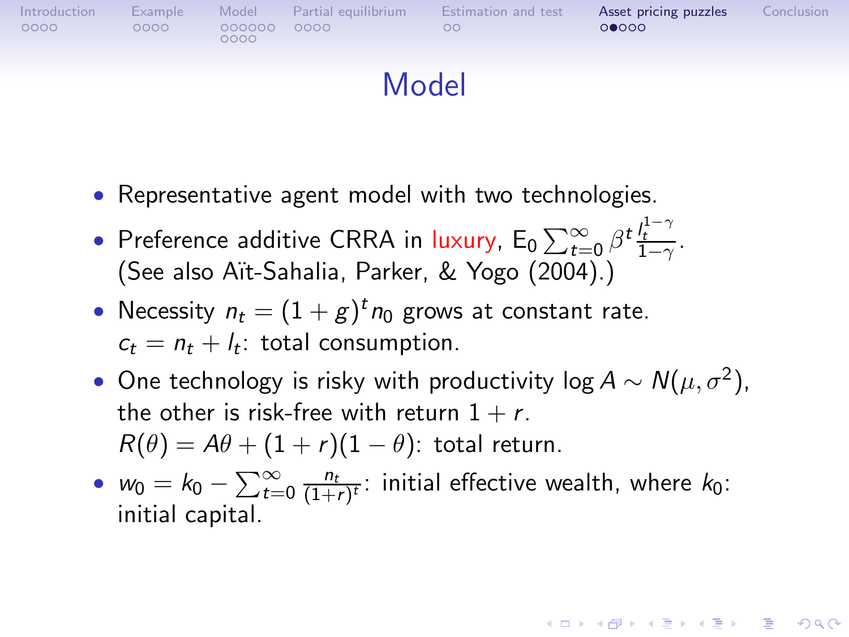

Model

- Representative agent model with two technologies.
- Preference additive CRRA in luxury,  $E_0 \sum_{t=0}^{\infty} \beta^t \frac{l_t^{1-\gamma}}{1-\gamma}$ . (See also A¨ıt-Sahalia, Parker, & Yogo (2004).)
- Necessity  $n_t = (1+g)^t n_0$  grows at constant rate.  $c_t = n_t + l_t$ : total consumption.
- One technology is risky with productivity log  $A \sim N(\mu, \sigma^2)$ , the other is risk-free with return  $1 + r$ .  $R(\theta) = A\theta + (1+r)(1-\theta)$ : total return.
- $w_0 = k_0 \sum_{t=0}^{\infty} \frac{n_t}{(1+t_0)^2}$  $\frac{n_t}{(1+r)^t}$ : initial effective wealth, where  $k_0$ : initial capital.

**ADD YEARS ARA YOUR**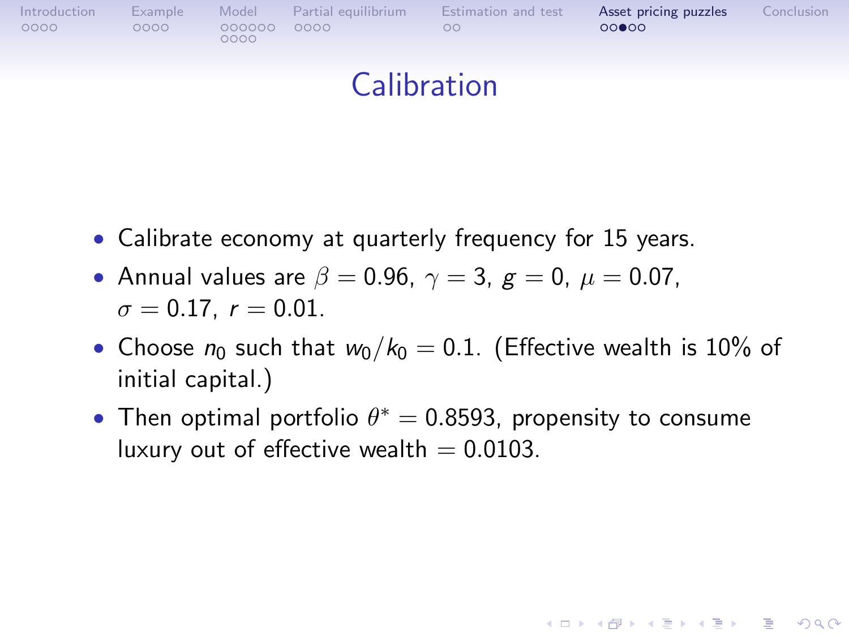

## Calibration

- Calibrate economy at quarterly frequency for 15 years.
- Annual values are  $\beta = 0.96$ ,  $\gamma = 3$ ,  $g = 0$ ,  $\mu = 0.07$ ,  $\sigma = 0.17$ ,  $r = 0.01$ .
- Choose  $n_0$  such that  $w_0/k_0 = 0.1$ . (Effective wealth is 10% of initial capital.)

**KORK ERKER (ERKERK)** 

• Then optimal portfolio  $\theta^* = 0.8593$ , propensity to consume luxury out of effective wealth  $= 0.0103$ .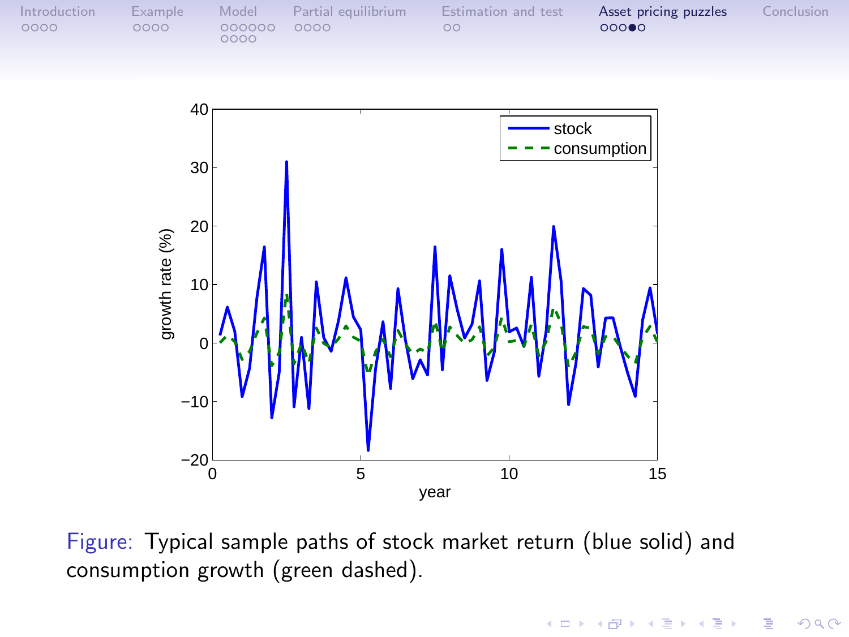| Introduction | Example | Model               | Partial equilibrium | Estimation and test | Asset pricing puzzles | Conclusion |
|--------------|---------|---------------------|---------------------|---------------------|-----------------------|------------|
| 0000         | 0000    | 000000 0000<br>0000 |                     | $\circ$             | 000                   |            |



Figure: Typical sample paths of stock market return (blue solid) and consumption growth (green dashed).

 $299$ 

イロト イ押ト イヨト イ

э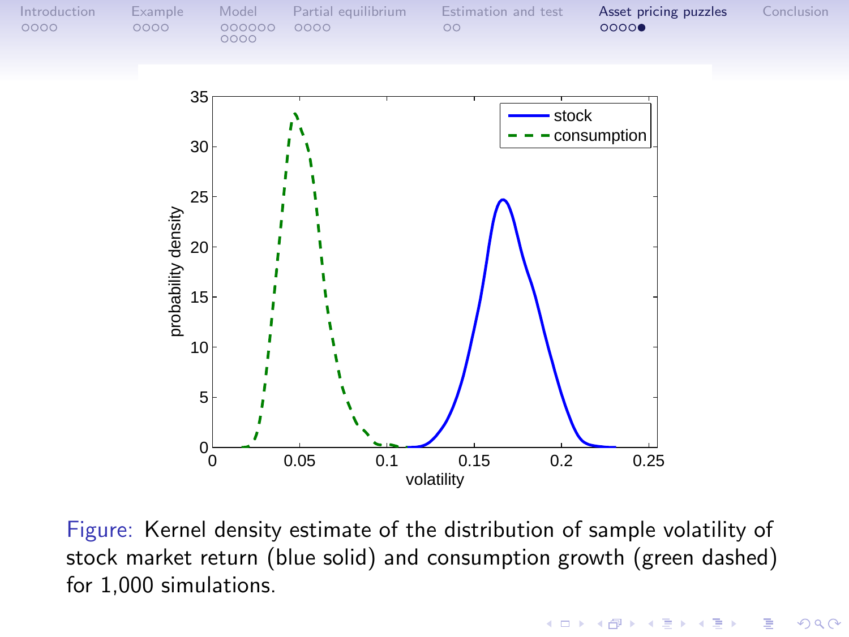

Figure: Kernel density estimate of the distribution of sample volatility of stock market return (blue solid) and consumption growth (green dashed) for 1,000 simulations.